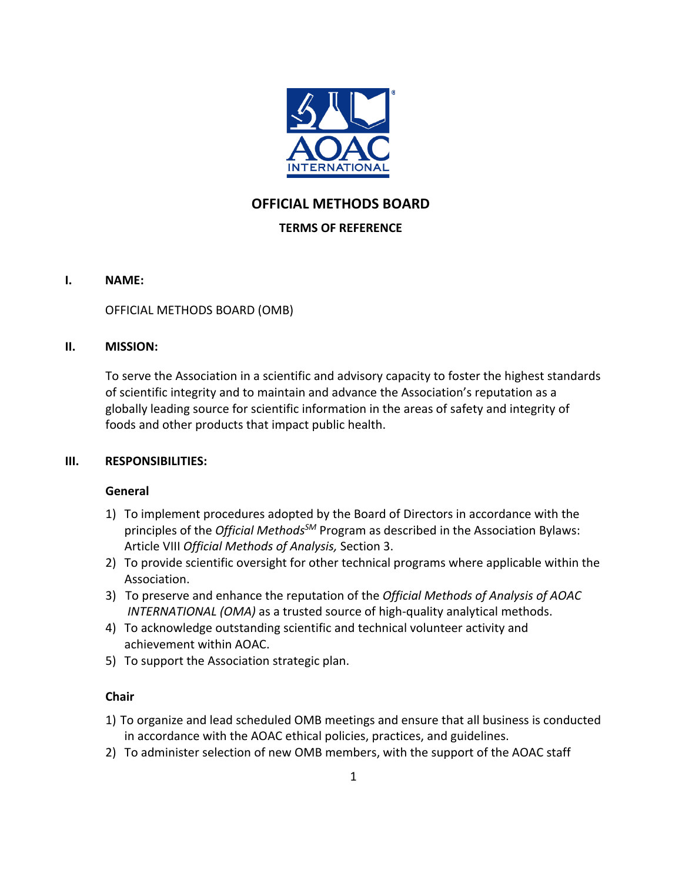

# **OFFICIAL METHODS BOARD**

# **TERMS OF REFERENCE**

## **I. NAME:**

OFFICIAL METHODS BOARD (OMB)

## **II. MISSION:**

To serve the Association in a scientific and advisory capacity to foster the highest standards of scientific integrity and to maintain and advance the Association's reputation as a globally leading source for scientific information in the areas of safety and integrity of foods and other products that impact public health.

# **III. RESPONSIBILITIES:**

# **General**

- 1) To implement procedures adopted by the Board of Directors in accordance with the principles of the *Official MethodsSM* Program as described in the Association Bylaws: Article VIII *Official Methods of Analysis,* Section 3.
- 2) To provide scientific oversight for other technical programs where applicable within the Association.
- 3) To preserve and enhance the reputation of the *Official Methods of Analysis of AOAC INTERNATIONAL (OMA)* as a trusted source of high-quality analytical methods.
- 4) To acknowledge outstanding scientific and technical volunteer activity and achievement within AOAC.
- 5) To support the Association strategic plan.

# **Chair**

- 1) To organize and lead scheduled OMB meetings and ensure that all business is conducted in accordance with the AOAC ethical policies, practices, and guidelines.
- 2) To administer selection of new OMB members, with the support of the AOAC staff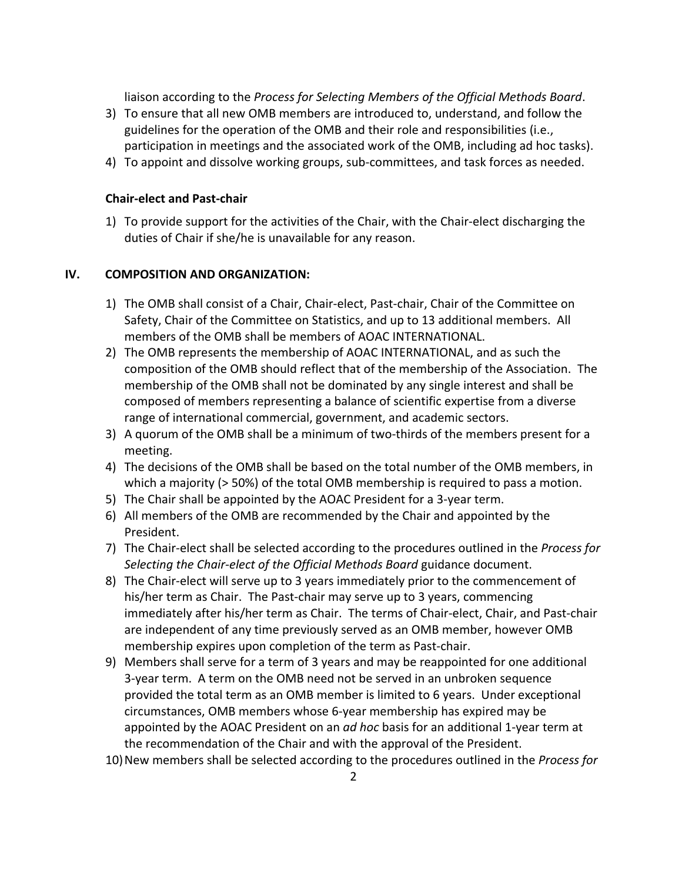liaison according to the *Process for Selecting Members of the Official Methods Board*.

- 3) To ensure that all new OMB members are introduced to, understand, and follow the guidelines for the operation of the OMB and their role and responsibilities (i.e., participation in meetings and the associated work of the OMB, including ad hoc tasks).
- 4) To appoint and dissolve working groups, sub-committees, and task forces as needed.

#### **Chair-elect and Past-chair**

1) To provide support for the activities of the Chair, with the Chair-elect discharging the duties of Chair if she/he is unavailable for any reason.

#### **IV. COMPOSITION AND ORGANIZATION:**

- 1) The OMB shall consist of a Chair, Chair-elect, Past-chair, Chair of the Committee on Safety, Chair of the Committee on Statistics, and up to 13 additional members. All members of the OMB shall be members of AOAC INTERNATIONAL.
- 2) The OMB represents the membership of AOAC INTERNATIONAL, and as such the composition of the OMB should reflect that of the membership of the Association. The membership of the OMB shall not be dominated by any single interest and shall be composed of members representing a balance of scientific expertise from a diverse range of international commercial, government, and academic sectors.
- 3) A quorum of the OMB shall be a minimum of two-thirds of the members present for a meeting.
- 4) The decisions of the OMB shall be based on the total number of the OMB members, in which a majority (> 50%) of the total OMB membership is required to pass a motion.
- 5) The Chair shall be appointed by the AOAC President for a 3-year term.
- 6) All members of the OMB are recommended by the Chair and appointed by the President.
- 7) The Chair-elect shall be selected according to the procedures outlined in the *Process for Selecting the Chair-elect of the Official Methods Board* guidance document.
- 8) The Chair-elect will serve up to 3 years immediately prior to the commencement of his/her term as Chair. The Past-chair may serve up to 3 years, commencing immediately after his/her term as Chair. The terms of Chair-elect, Chair, and Past-chair are independent of any time previously served as an OMB member, however OMB membership expires upon completion of the term as Past-chair.
- 9) Members shall serve for a term of 3 years and may be reappointed for one additional 3-year term. A term on the OMB need not be served in an unbroken sequence provided the total term as an OMB member is limited to 6 years. Under exceptional circumstances, OMB members whose 6-year membership has expired may be appointed by the AOAC President on an *ad hoc* basis for an additional 1-year term at the recommendation of the Chair and with the approval of the President.
- 10)New members shall be selected according to the procedures outlined in the *Process for*